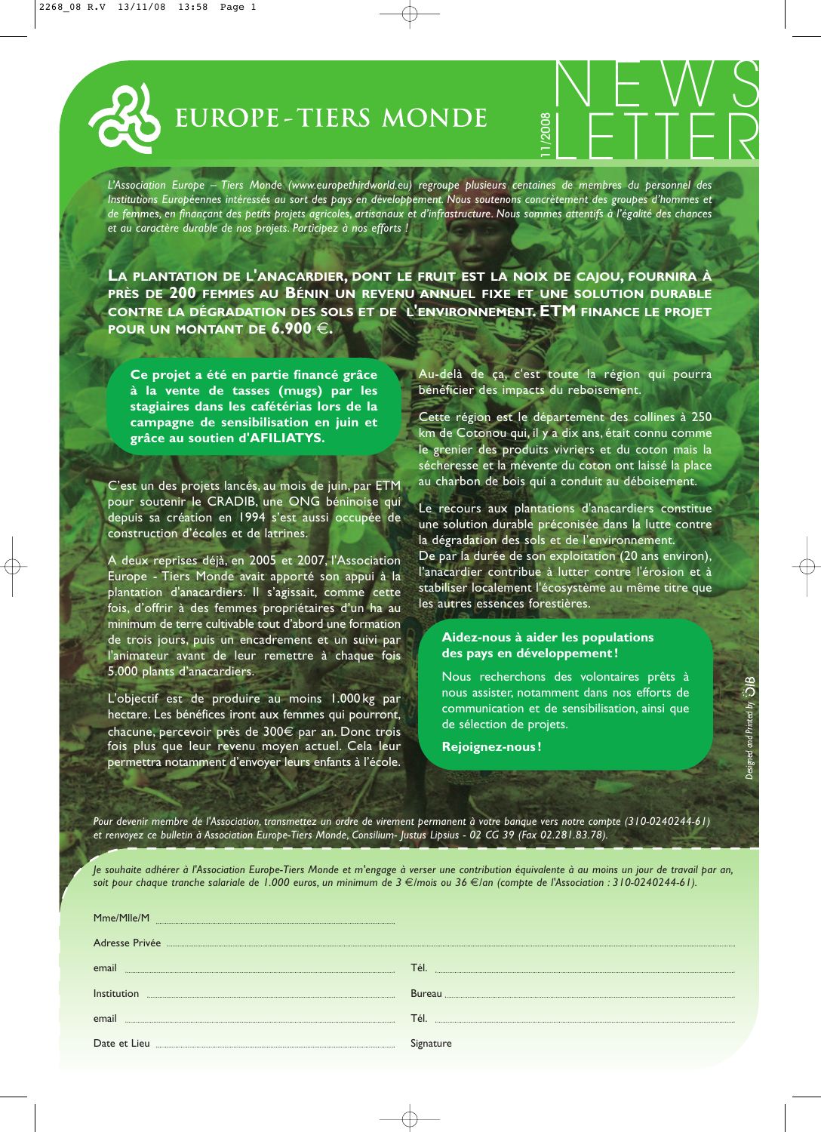

*L'Association Europe – Tiers Monde (www.europethirdworld.eu) regroupe plusieurs centaines de membres du personnel des Institutions Européennes intéressés au sort des pays en développement. Nous soutenons concrètement des groupes d'hommes et de femmes, en finançant des petits projets agricoles, artisanaux et d'infrastructure. Nous sommes attentifs à l'égalité des chances et au caractère durable de nos projets. Participez à nos efforts !*

**LA PLANTATION DE L'ANACARDIER, DONT LE FRUIT EST LA NOIX DE CAJOU, FOURNIRA À PRÈS DE 200 FEMMES AU BÉNIN UN REVENU ANNUEL FIXE ET UNE SOLUTION DURABLE CONTRE LA DÉGRADATION DES SOLS ET DE L'ENVIRONNEMENT. ETM FINANCE LE PROJET POUR UN MONTANT DE 6.900** €**.**

**Ce projet a été en partie financé grâce à la vente de tasses (mugs) par les stagiaires dans les cafétérias lors de la campagne de sensibilisation en juin et grâce au soutien d'AFILIATYS.**

C'est un des projets lancés, au mois de juin, par ETM pour soutenir le CRADIB, une ONG béninoise qui depuis sa création en 1994 s'est aussi occupée de construction d'écoles et de latrines.

A deux reprises déjà, en 2005 et 2007, l'Association Europe - Tiers Monde avait apporté son appui à la plantation d'anacardiers. Il s'agissait, comme cette fois, d'offrir à des femmes propriétaires d'un ha au minimum de terre cultivable tout d'abord une formation de trois jours, puis un encadrement et un suivi par l'animateur avant de leur remettre à chaque fois 5.000 plants d'anacardiers.

L'objectif est de produire au moins 1.000 kg par hectare. Les bénéfices iront aux femmes qui pourront, chacune, percevoir près de 300€ par an. Donc trois fois plus que leur revenu moyen actuel. Cela leur permettra notamment d'envoyer leurs enfants à l'école.

Au-delà de ça, c'est toute la région qui pourra bénéficier des impacts du reboisement.

NEWS<br>LETTER

Cette région est le département des collines à 250 km de Cotonou qui, il y a dix ans, était connu comme le grenier des produits vivriers et du coton mais la sécheresse et la mévente du coton ont laissé la place au charbon de bois qui a conduit au déboisement.

Le recours aux plantations d'anacardiers constitue une solution durable préconisée dans la lutte contre la dégradation des sols et de l'environnement. De par la durée de son exploitation (20 ans environ), l'anacardier contribue à lutter contre l'érosion et à stabiliser localement l'écosystème au même titre que les autres essences forestières.

## **Aidez-nous à aider les populations des pays en développement !**

Nous recherchons des volontaires prêts à nous assister, notamment dans nos efforts de communication et de sensibilisation, ainsi que de sélection de projets.

*Designed and Printed by*

**Rejoignez-nous !**

*Pour devenir membre de l'Association, transmettez un ordre de virement permanent à votre banque vers notre compte (310-0240244-61) et renvoyez ce bulletin à Association Europe-Tiers Monde, Consilium- Justus Lipsius - 02 CG 39 (Fax 02.281.83.78).*

*Je souhaite adhérer à l'Association Europe-Tiers Monde et m'engage à verser une contribution équivalente à au moins un jour de travail par an, soit pour chaque tranche salariale de 1.000 euros, un minimum de 3* €*/mois ou 36* €*/an (compte de l'Association : 310-0240244-61).*

| Mme/Mlle/M     |               |
|----------------|---------------|
| Adresse Privée |               |
| emai           | Tél.          |
|                |               |
| Institu        | <b>Bureau</b> |
|                |               |
| email          | Tél           |
|                |               |
| Date et Lieu   | Signature     |